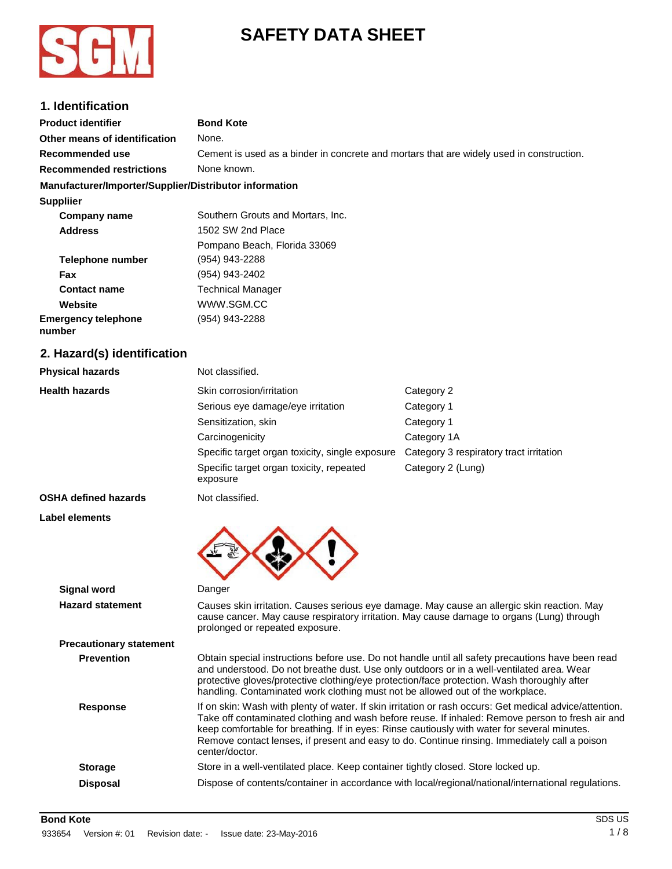



# **1. Identification**

| <b>Product identifier</b>                              | <b>Bond Kote</b>                                                                                                                                                                                                                                                           |                                                                                                                                                                                                                                                                                                              |
|--------------------------------------------------------|----------------------------------------------------------------------------------------------------------------------------------------------------------------------------------------------------------------------------------------------------------------------------|--------------------------------------------------------------------------------------------------------------------------------------------------------------------------------------------------------------------------------------------------------------------------------------------------------------|
| Other means of identification                          | None.                                                                                                                                                                                                                                                                      |                                                                                                                                                                                                                                                                                                              |
| Recommended use                                        | Cement is used as a binder in concrete and mortars that are widely used in construction.                                                                                                                                                                                   |                                                                                                                                                                                                                                                                                                              |
| <b>Recommended restrictions</b>                        | None known.                                                                                                                                                                                                                                                                |                                                                                                                                                                                                                                                                                                              |
| Manufacturer/Importer/Supplier/Distributor information |                                                                                                                                                                                                                                                                            |                                                                                                                                                                                                                                                                                                              |
| <b>Suppliier</b>                                       |                                                                                                                                                                                                                                                                            |                                                                                                                                                                                                                                                                                                              |
| <b>Company name</b>                                    | Southern Grouts and Mortars, Inc.                                                                                                                                                                                                                                          |                                                                                                                                                                                                                                                                                                              |
| <b>Address</b>                                         | 1502 SW 2nd Place                                                                                                                                                                                                                                                          |                                                                                                                                                                                                                                                                                                              |
|                                                        | Pompano Beach, Florida 33069                                                                                                                                                                                                                                               |                                                                                                                                                                                                                                                                                                              |
| Telephone number                                       | (954) 943-2288                                                                                                                                                                                                                                                             |                                                                                                                                                                                                                                                                                                              |
| Fax                                                    | (954) 943-2402                                                                                                                                                                                                                                                             |                                                                                                                                                                                                                                                                                                              |
| <b>Contact name</b>                                    | <b>Technical Manager</b>                                                                                                                                                                                                                                                   |                                                                                                                                                                                                                                                                                                              |
| Website                                                | WWW.SGM.CC                                                                                                                                                                                                                                                                 |                                                                                                                                                                                                                                                                                                              |
| <b>Emergency telephone</b><br>number                   | (954) 943-2288                                                                                                                                                                                                                                                             |                                                                                                                                                                                                                                                                                                              |
| 2. Hazard(s) identification                            |                                                                                                                                                                                                                                                                            |                                                                                                                                                                                                                                                                                                              |
| <b>Physical hazards</b>                                | Not classified.                                                                                                                                                                                                                                                            |                                                                                                                                                                                                                                                                                                              |
| <b>Health hazards</b>                                  | Skin corrosion/irritation                                                                                                                                                                                                                                                  | Category 2                                                                                                                                                                                                                                                                                                   |
|                                                        | Serious eye damage/eye irritation                                                                                                                                                                                                                                          | Category 1                                                                                                                                                                                                                                                                                                   |
|                                                        | Sensitization, skin                                                                                                                                                                                                                                                        | Category 1                                                                                                                                                                                                                                                                                                   |
|                                                        | Carcinogenicity                                                                                                                                                                                                                                                            | Category 1A                                                                                                                                                                                                                                                                                                  |
|                                                        | Specific target organ toxicity, single exposure                                                                                                                                                                                                                            | Category 3 respiratory tract irritation                                                                                                                                                                                                                                                                      |
|                                                        | Specific target organ toxicity, repeated<br>exposure                                                                                                                                                                                                                       | Category 2 (Lung)                                                                                                                                                                                                                                                                                            |
| <b>OSHA defined hazards</b>                            | Not classified.                                                                                                                                                                                                                                                            |                                                                                                                                                                                                                                                                                                              |
| Label elements                                         |                                                                                                                                                                                                                                                                            |                                                                                                                                                                                                                                                                                                              |
|                                                        |                                                                                                                                                                                                                                                                            |                                                                                                                                                                                                                                                                                                              |
| <b>Signal word</b>                                     | Danger                                                                                                                                                                                                                                                                     |                                                                                                                                                                                                                                                                                                              |
| <b>Hazard statement</b>                                | cause cancer. May cause respiratory irritation. May cause damage to organs (Lung) through<br>prolonged or repeated exposure.                                                                                                                                               | Causes skin irritation. Causes serious eye damage. May cause an allergic skin reaction. May                                                                                                                                                                                                                  |
| <b>Precautionary statement</b>                         |                                                                                                                                                                                                                                                                            |                                                                                                                                                                                                                                                                                                              |
| <b>Prevention</b>                                      | and understood. Do not breathe dust. Use only outdoors or in a well-ventilated area. Wear<br>protective gloves/protective clothing/eye protection/face protection. Wash thoroughly after<br>handling. Contaminated work clothing must not be allowed out of the workplace. | Obtain special instructions before use. Do not handle until all safety precautions have been read                                                                                                                                                                                                            |
| <b>Response</b>                                        | keep comfortable for breathing. If in eyes: Rinse cautiously with water for several minutes.<br>center/doctor.                                                                                                                                                             | If on skin: Wash with plenty of water. If skin irritation or rash occurs: Get medical advice/attention.<br>Take off contaminated clothing and wash before reuse. If inhaled: Remove person to fresh air and<br>Remove contact lenses, if present and easy to do. Continue rinsing. Immediately call a poison |
| <b>Storage</b>                                         | Store in a well-ventilated place. Keep container tightly closed. Store locked up.                                                                                                                                                                                          |                                                                                                                                                                                                                                                                                                              |
| <b>Disposal</b>                                        |                                                                                                                                                                                                                                                                            | Dispose of contents/container in accordance with local/regional/national/international regulations.                                                                                                                                                                                                          |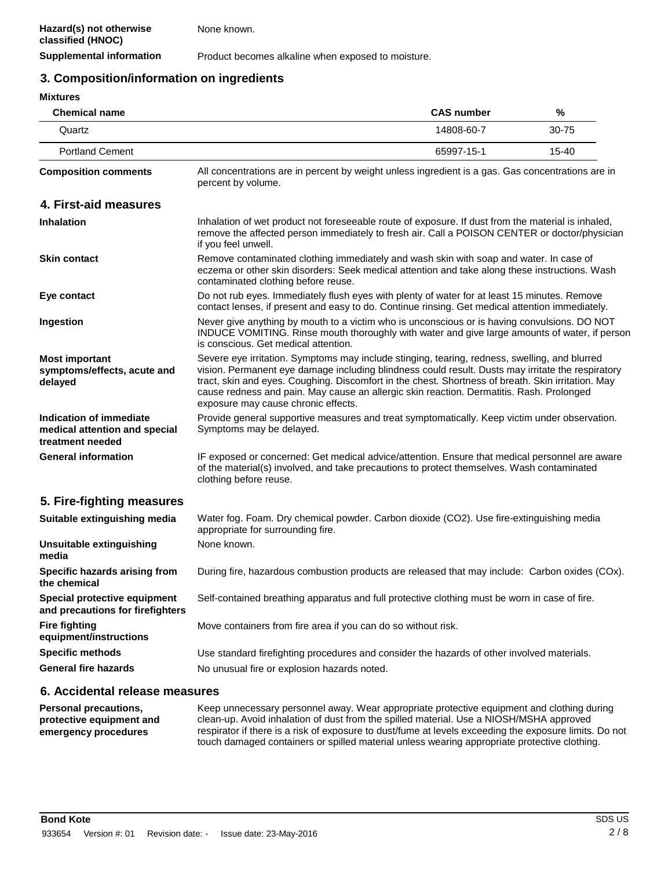**Supplemental information** Product becomes alkaline when exposed to moisture.

# **3. Composition/information on ingredients**

#### **Mixtures**

| <b>Chemical name</b>                                                         |                                                                                                                                                                                                                                                                                                                                                                                                                                             | <b>CAS number</b> | %     |
|------------------------------------------------------------------------------|---------------------------------------------------------------------------------------------------------------------------------------------------------------------------------------------------------------------------------------------------------------------------------------------------------------------------------------------------------------------------------------------------------------------------------------------|-------------------|-------|
| Quartz                                                                       |                                                                                                                                                                                                                                                                                                                                                                                                                                             | 14808-60-7        | 30-75 |
| <b>Portland Cement</b>                                                       |                                                                                                                                                                                                                                                                                                                                                                                                                                             | 65997-15-1        | 15-40 |
| <b>Composition comments</b>                                                  | All concentrations are in percent by weight unless ingredient is a gas. Gas concentrations are in<br>percent by volume.                                                                                                                                                                                                                                                                                                                     |                   |       |
| 4. First-aid measures                                                        |                                                                                                                                                                                                                                                                                                                                                                                                                                             |                   |       |
| <b>Inhalation</b>                                                            | Inhalation of wet product not foreseeable route of exposure. If dust from the material is inhaled,<br>remove the affected person immediately to fresh air. Call a POISON CENTER or doctor/physician<br>if you feel unwell.                                                                                                                                                                                                                  |                   |       |
| <b>Skin contact</b>                                                          | Remove contaminated clothing immediately and wash skin with soap and water. In case of<br>eczema or other skin disorders: Seek medical attention and take along these instructions. Wash<br>contaminated clothing before reuse.                                                                                                                                                                                                             |                   |       |
| Eye contact                                                                  | Do not rub eyes. Immediately flush eyes with plenty of water for at least 15 minutes. Remove<br>contact lenses, if present and easy to do. Continue rinsing. Get medical attention immediately.                                                                                                                                                                                                                                             |                   |       |
| Ingestion                                                                    | Never give anything by mouth to a victim who is unconscious or is having convulsions. DO NOT<br>INDUCE VOMITING. Rinse mouth thoroughly with water and give large amounts of water, if person<br>is conscious. Get medical attention.                                                                                                                                                                                                       |                   |       |
| <b>Most important</b><br>symptoms/effects, acute and<br>delayed              | Severe eye irritation. Symptoms may include stinging, tearing, redness, swelling, and blurred<br>vision. Permanent eye damage including blindness could result. Dusts may irritate the respiratory<br>tract, skin and eyes. Coughing. Discomfort in the chest. Shortness of breath. Skin irritation. May<br>cause redness and pain. May cause an allergic skin reaction. Dermatitis. Rash. Prolonged<br>exposure may cause chronic effects. |                   |       |
| Indication of immediate<br>medical attention and special<br>treatment needed | Provide general supportive measures and treat symptomatically. Keep victim under observation.<br>Symptoms may be delayed.                                                                                                                                                                                                                                                                                                                   |                   |       |
| <b>General information</b>                                                   | IF exposed or concerned: Get medical advice/attention. Ensure that medical personnel are aware<br>of the material(s) involved, and take precautions to protect themselves. Wash contaminated<br>clothing before reuse.                                                                                                                                                                                                                      |                   |       |
| 5. Fire-fighting measures                                                    |                                                                                                                                                                                                                                                                                                                                                                                                                                             |                   |       |
| Suitable extinguishing media                                                 | Water fog. Foam. Dry chemical powder. Carbon dioxide (CO2). Use fire-extinguishing media<br>appropriate for surrounding fire.                                                                                                                                                                                                                                                                                                               |                   |       |
| Unsuitable extinguishing<br>media                                            | None known.                                                                                                                                                                                                                                                                                                                                                                                                                                 |                   |       |
| Specific hazards arising from<br>the chemical                                | During fire, hazardous combustion products are released that may include: Carbon oxides (COx).                                                                                                                                                                                                                                                                                                                                              |                   |       |
| Special protective equipment<br>and precautions for firefighters             | Self-contained breathing apparatus and full protective clothing must be worn in case of fire.                                                                                                                                                                                                                                                                                                                                               |                   |       |
| <b>Fire fighting</b><br>equipment/instructions                               | Move containers from fire area if you can do so without risk.                                                                                                                                                                                                                                                                                                                                                                               |                   |       |
| <b>Specific methods</b><br><b>General fire hazards</b>                       | Use standard firefighting procedures and consider the hazards of other involved materials.<br>No unusual fire or explosion hazards noted.                                                                                                                                                                                                                                                                                                   |                   |       |
|                                                                              |                                                                                                                                                                                                                                                                                                                                                                                                                                             |                   |       |

## **6. Accidental release measures**

**Personal precautions, protective equipment and emergency procedures** Keep unnecessary personnel away. Wear appropriate protective equipment and clothing during clean-up. Avoid inhalation of dust from the spilled material. Use a NIOSH/MSHA approved respirator if there is a risk of exposure to dust/fume at levels exceeding the exposure limits. Do not touch damaged containers or spilled material unless wearing appropriate protective clothing.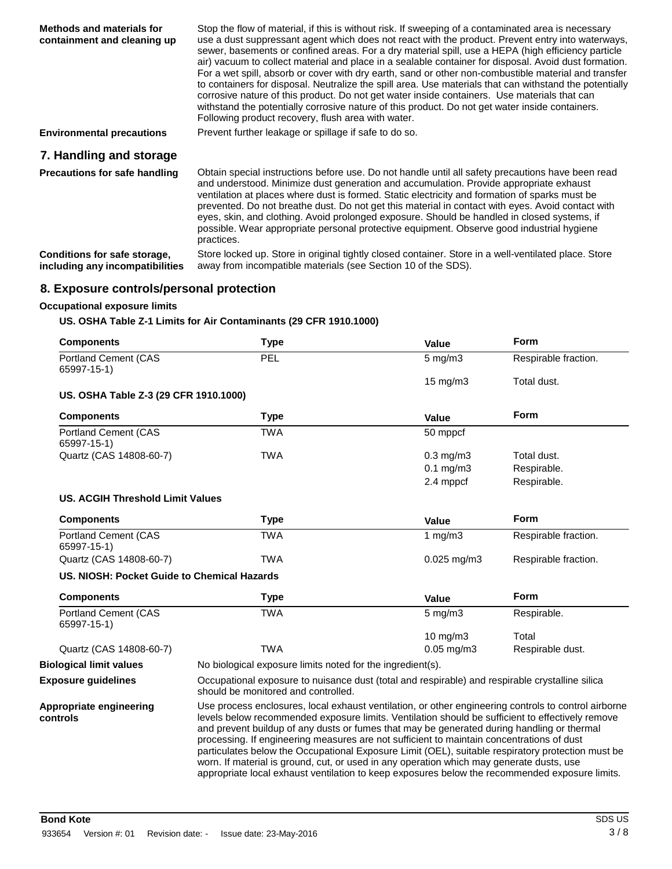| Methods and materials for<br>containment and cleaning up        | Stop the flow of material, if this is without risk. If sweeping of a contaminated area is necessary<br>use a dust suppressant agent which does not react with the product. Prevent entry into waterways,<br>sewer, basements or confined areas. For a dry material spill, use a HEPA (high efficiency particle<br>air) vacuum to collect material and place in a sealable container for disposal. Avoid dust formation.<br>For a wet spill, absorb or cover with dry earth, sand or other non-combustible material and transfer<br>to containers for disposal. Neutralize the spill area. Use materials that can withstand the potentially<br>corrosive nature of this product. Do not get water inside containers. Use materials that can<br>withstand the potentially corrosive nature of this product. Do not get water inside containers.<br>Following product recovery, flush area with water. |
|-----------------------------------------------------------------|-----------------------------------------------------------------------------------------------------------------------------------------------------------------------------------------------------------------------------------------------------------------------------------------------------------------------------------------------------------------------------------------------------------------------------------------------------------------------------------------------------------------------------------------------------------------------------------------------------------------------------------------------------------------------------------------------------------------------------------------------------------------------------------------------------------------------------------------------------------------------------------------------------|
| <b>Environmental precautions</b>                                | Prevent further leakage or spillage if safe to do so.                                                                                                                                                                                                                                                                                                                                                                                                                                                                                                                                                                                                                                                                                                                                                                                                                                               |
| 7. Handling and storage                                         |                                                                                                                                                                                                                                                                                                                                                                                                                                                                                                                                                                                                                                                                                                                                                                                                                                                                                                     |
| Precautions for safe handling                                   | Obtain special instructions before use. Do not handle until all safety precautions have been read<br>and understood. Minimize dust generation and accumulation. Provide appropriate exhaust<br>ventilation at places where dust is formed. Static electricity and formation of sparks must be<br>prevented. Do not breathe dust. Do not get this material in contact with eyes. Avoid contact with<br>eyes, skin, and clothing. Avoid prolonged exposure. Should be handled in closed systems, if<br>possible. Wear appropriate personal protective equipment. Observe good industrial hygiene<br>practices.                                                                                                                                                                                                                                                                                        |
| Conditions for safe storage,<br>including any incompatibilities | Store locked up. Store in original tightly closed container. Store in a well-ventilated place. Store<br>away from incompatible materials (see Section 10 of the SDS).                                                                                                                                                                                                                                                                                                                                                                                                                                                                                                                                                                                                                                                                                                                               |

# **8. Exposure controls/personal protection**

### **Occupational exposure limits**

### **US. OSHA Table Z-1 Limits for Air Contaminants (29 CFR 1910.1000)**

| <b>Components</b>                           | <b>Type</b>                                                                                                                                                                                                                                                                                                                                                                                                                                                                                                                                                                                                                                                                                            | Value              | Form                 |
|---------------------------------------------|--------------------------------------------------------------------------------------------------------------------------------------------------------------------------------------------------------------------------------------------------------------------------------------------------------------------------------------------------------------------------------------------------------------------------------------------------------------------------------------------------------------------------------------------------------------------------------------------------------------------------------------------------------------------------------------------------------|--------------------|----------------------|
| <b>Portland Cement (CAS</b><br>65997-15-1)  | PEL                                                                                                                                                                                                                                                                                                                                                                                                                                                                                                                                                                                                                                                                                                    | $5$ mg/m $3$       | Respirable fraction. |
|                                             |                                                                                                                                                                                                                                                                                                                                                                                                                                                                                                                                                                                                                                                                                                        | 15 mg/m3           | Total dust.          |
| US. OSHA Table Z-3 (29 CFR 1910.1000)       |                                                                                                                                                                                                                                                                                                                                                                                                                                                                                                                                                                                                                                                                                                        |                    |                      |
| <b>Components</b>                           | <b>Type</b>                                                                                                                                                                                                                                                                                                                                                                                                                                                                                                                                                                                                                                                                                            | Value              | <b>Form</b>          |
| Portland Cement (CAS<br>65997-15-1)         | <b>TWA</b>                                                                                                                                                                                                                                                                                                                                                                                                                                                                                                                                                                                                                                                                                             | 50 mppcf           |                      |
| Quartz (CAS 14808-60-7)                     | <b>TWA</b>                                                                                                                                                                                                                                                                                                                                                                                                                                                                                                                                                                                                                                                                                             | $0.3$ mg/m $3$     | Total dust.          |
|                                             |                                                                                                                                                                                                                                                                                                                                                                                                                                                                                                                                                                                                                                                                                                        | $0.1$ mg/m $3$     | Respirable.          |
|                                             |                                                                                                                                                                                                                                                                                                                                                                                                                                                                                                                                                                                                                                                                                                        | 2.4 mppcf          | Respirable.          |
| <b>US. ACGIH Threshold Limit Values</b>     |                                                                                                                                                                                                                                                                                                                                                                                                                                                                                                                                                                                                                                                                                                        |                    |                      |
| <b>Components</b>                           | <b>Type</b>                                                                                                                                                                                                                                                                                                                                                                                                                                                                                                                                                                                                                                                                                            | Value              | <b>Form</b>          |
| <b>Portland Cement (CAS</b><br>65997-15-1)  | <b>TWA</b>                                                                                                                                                                                                                                                                                                                                                                                                                                                                                                                                                                                                                                                                                             | 1 $mg/m3$          | Respirable fraction. |
| Quartz (CAS 14808-60-7)                     | <b>TWA</b>                                                                                                                                                                                                                                                                                                                                                                                                                                                                                                                                                                                                                                                                                             | $0.025$ mg/m $3$   | Respirable fraction. |
| US. NIOSH: Pocket Guide to Chemical Hazards |                                                                                                                                                                                                                                                                                                                                                                                                                                                                                                                                                                                                                                                                                                        |                    |                      |
| <b>Components</b>                           | <b>Type</b>                                                                                                                                                                                                                                                                                                                                                                                                                                                                                                                                                                                                                                                                                            | Value              | Form                 |
| Portland Cement (CAS<br>65997-15-1)         | <b>TWA</b>                                                                                                                                                                                                                                                                                                                                                                                                                                                                                                                                                                                                                                                                                             | $5 \text{ mg/m}$ 3 | Respirable.          |
|                                             |                                                                                                                                                                                                                                                                                                                                                                                                                                                                                                                                                                                                                                                                                                        | $10$ mg/m $3$      | Total                |
| Quartz (CAS 14808-60-7)                     | <b>TWA</b>                                                                                                                                                                                                                                                                                                                                                                                                                                                                                                                                                                                                                                                                                             | $0.05$ mg/m3       | Respirable dust.     |
| <b>Biological limit values</b>              | No biological exposure limits noted for the ingredient(s).                                                                                                                                                                                                                                                                                                                                                                                                                                                                                                                                                                                                                                             |                    |                      |
| <b>Exposure guidelines</b>                  | Occupational exposure to nuisance dust (total and respirable) and respirable crystalline silica<br>should be monitored and controlled.                                                                                                                                                                                                                                                                                                                                                                                                                                                                                                                                                                 |                    |                      |
| Appropriate engineering<br>controls         | Use process enclosures, local exhaust ventilation, or other engineering controls to control airborne<br>levels below recommended exposure limits. Ventilation should be sufficient to effectively remove<br>and prevent buildup of any dusts or fumes that may be generated during handling or thermal<br>processing. If engineering measures are not sufficient to maintain concentrations of dust<br>particulates below the Occupational Exposure Limit (OEL), suitable respiratory protection must be<br>worn. If material is ground, cut, or used in any operation which may generate dusts, use<br>appropriate local exhaust ventilation to keep exposures below the recommended exposure limits. |                    |                      |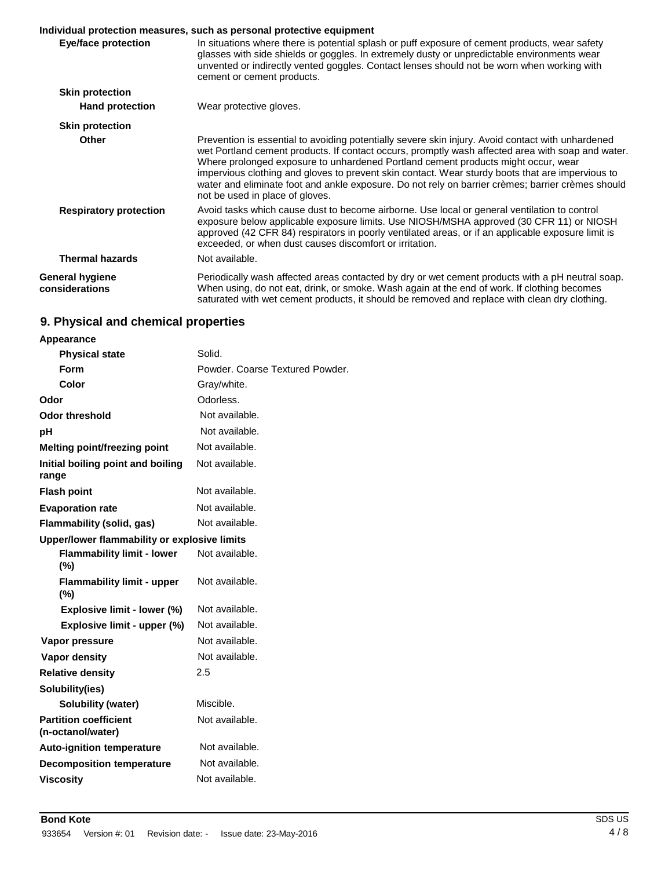# **Individual protection measures, such as personal protective equipment**

|                                   | iliulviuudi protectioli liigasules, suoli as persollai protective equiplilelli.                                                                                                                                                                                                                                                                                                                                                                                                                                                         |
|-----------------------------------|-----------------------------------------------------------------------------------------------------------------------------------------------------------------------------------------------------------------------------------------------------------------------------------------------------------------------------------------------------------------------------------------------------------------------------------------------------------------------------------------------------------------------------------------|
| Eye/face protection               | In situations where there is potential splash or puff exposure of cement products, wear safety<br>glasses with side shields or goggles. In extremely dusty or unpredictable environments wear<br>unvented or indirectly vented goggles. Contact lenses should not be worn when working with<br>cement or cement products.                                                                                                                                                                                                               |
| <b>Skin protection</b>            |                                                                                                                                                                                                                                                                                                                                                                                                                                                                                                                                         |
| <b>Hand protection</b>            | Wear protective gloves.                                                                                                                                                                                                                                                                                                                                                                                                                                                                                                                 |
| <b>Skin protection</b>            |                                                                                                                                                                                                                                                                                                                                                                                                                                                                                                                                         |
| <b>Other</b>                      | Prevention is essential to avoiding potentially severe skin injury. Avoid contact with unhardened<br>wet Portland cement products. If contact occurs, promptly wash affected area with soap and water.<br>Where prolonged exposure to unhardened Portland cement products might occur, wear<br>impervious clothing and gloves to prevent skin contact. Wear sturdy boots that are impervious to<br>water and eliminate foot and ankle exposure. Do not rely on barrier crèmes; barrier crèmes should<br>not be used in place of gloves. |
| <b>Respiratory protection</b>     | Avoid tasks which cause dust to become airborne. Use local or general ventilation to control<br>exposure below applicable exposure limits. Use NIOSH/MSHA approved (30 CFR 11) or NIOSH<br>approved (42 CFR 84) respirators in poorly ventilated areas, or if an applicable exposure limit is<br>exceeded, or when dust causes discomfort or irritation.                                                                                                                                                                                |
| <b>Thermal hazards</b>            | Not available.                                                                                                                                                                                                                                                                                                                                                                                                                                                                                                                          |
| General hygiene<br>considerations | Periodically wash affected areas contacted by dry or wet cement products with a pH neutral soap.<br>When using, do not eat, drink, or smoke. Wash again at the end of work. If clothing becomes<br>saturated with wet cement products, it should be removed and replace with clean dry clothing.                                                                                                                                                                                                                                        |

# **9. Physical and chemical properties**

## **Appearance**

| <b>Physical state</b>                             | Solid.                          |
|---------------------------------------------------|---------------------------------|
| Form                                              | Powder, Coarse Textured Powder. |
| Color                                             | Gray/white.                     |
| Odor                                              | Odorless.                       |
| <b>Odor threshold</b>                             | Not available.                  |
| рH                                                | Not available.                  |
| <b>Melting point/freezing point</b>               | Not available.                  |
| Initial boiling point and boiling<br>range        | Not available.                  |
| <b>Flash point</b>                                | Not available.                  |
| <b>Evaporation rate</b>                           | Not available.                  |
| <b>Flammability (solid, gas)</b>                  | Not available.                  |
| Upper/lower flammability or explosive limits      |                                 |
| <b>Flammability limit - lower</b><br>(%)          | Not available.                  |
| <b>Flammability limit - upper</b><br>(%)          | Not available.                  |
| Explosive limit - lower (%)                       | Not available.                  |
| Explosive limit - upper (%)                       | Not available.                  |
| Vapor pressure                                    | Not available.                  |
| <b>Vapor density</b>                              | Not available.                  |
| <b>Relative density</b>                           | 2.5                             |
| Solubility(ies)                                   |                                 |
| Solubility (water)                                | Miscible.                       |
| <b>Partition coefficient</b><br>(n-octanol/water) | Not available.                  |
| <b>Auto-ignition temperature</b>                  | Not available.                  |
| <b>Decomposition temperature</b>                  | Not available.                  |
| <b>Viscosity</b>                                  | Not available.                  |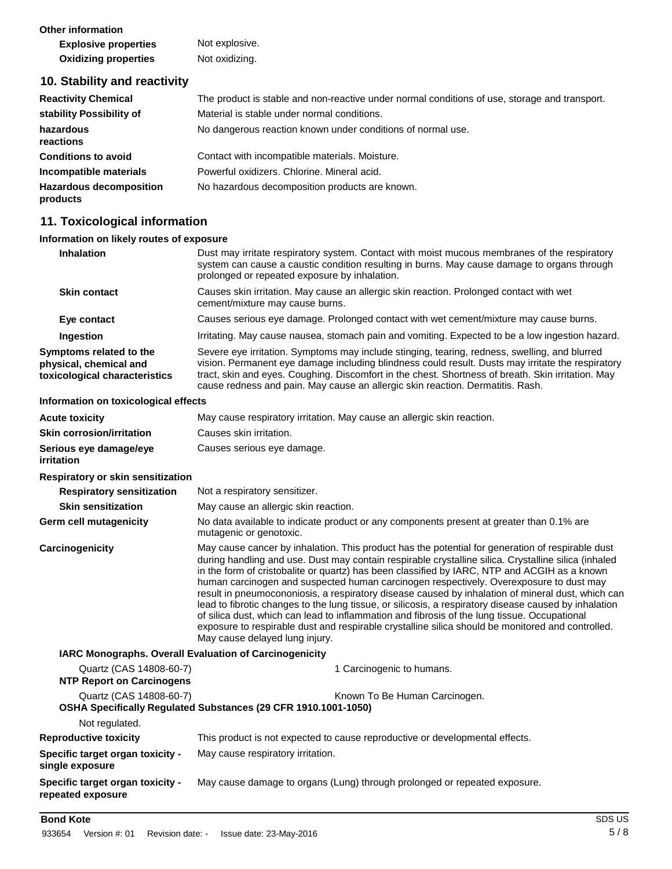**Other information** 

| <b>Explosive properties</b> | Not explosive. |
|-----------------------------|----------------|
| <b>Oxidizing properties</b> | Not oxidizing. |

## **10. Stability and reactivity**

| <b>Reactivity Chemical</b>                 | The product is stable and non-reactive under normal conditions of use, storage and transport. |
|--------------------------------------------|-----------------------------------------------------------------------------------------------|
| stability Possibility of                   | Material is stable under normal conditions.                                                   |
| hazardous<br>reactions                     | No dangerous reaction known under conditions of normal use.                                   |
| <b>Conditions to avoid</b>                 | Contact with incompatible materials. Moisture.                                                |
| Incompatible materials                     | Powerful oxidizers. Chlorine. Mineral acid.                                                   |
| <b>Hazardous decomposition</b><br>products | No hazardous decomposition products are known.                                                |

### **11. Toxicological information**

#### **Information on likely routes of exposure**

| <b>Inhalation</b>                                                                  | Dust may irritate respiratory system. Contact with moist mucous membranes of the respiratory<br>system can cause a caustic condition resulting in burns. May cause damage to organs through<br>prolonged or repeated exposure by inhalation.                                                                                                                                               |  |
|------------------------------------------------------------------------------------|--------------------------------------------------------------------------------------------------------------------------------------------------------------------------------------------------------------------------------------------------------------------------------------------------------------------------------------------------------------------------------------------|--|
| <b>Skin contact</b>                                                                | Causes skin irritation. May cause an allergic skin reaction. Prolonged contact with wet<br>cement/mixture may cause burns.                                                                                                                                                                                                                                                                 |  |
| Eye contact                                                                        | Causes serious eye damage. Prolonged contact with wet cement/mixture may cause burns.                                                                                                                                                                                                                                                                                                      |  |
| Ingestion                                                                          | Irritating. May cause nausea, stomach pain and vomiting. Expected to be a low ingestion hazard.                                                                                                                                                                                                                                                                                            |  |
| Symptoms related to the<br>physical, chemical and<br>toxicological characteristics | Severe eye irritation. Symptoms may include stinging, tearing, redness, swelling, and blurred<br>vision. Permanent eye damage including blindness could result. Dusts may irritate the respiratory<br>tract, skin and eyes. Coughing. Discomfort in the chest. Shortness of breath. Skin irritation. May<br>cause redness and pain. May cause an allergic skin reaction. Dermatitis. Rash. |  |
| Information on toxicological effects                                               |                                                                                                                                                                                                                                                                                                                                                                                            |  |
| <b>Acute toxicity</b>                                                              | May cause respiratory irritation. May cause an allergic skin reaction.                                                                                                                                                                                                                                                                                                                     |  |

| .                                           |                               |
|---------------------------------------------|-------------------------------|
| <b>Skin corrosion/irritation</b>            | Causes skin irritation.       |
| Serious eye damage/eye<br><i>irritation</i> | Causes serious eye damage.    |
| Respiratory or skin sensitization           |                               |
| <b>Respiratory sensitization</b>            | Not a respiratory sensitizer. |

| <b>RESPITATOLY SUISITEATION</b> | <b>TVOL &amp; TUSPITATOLY SUITSITIZUI.</b>                                                                          |
|---------------------------------|---------------------------------------------------------------------------------------------------------------------|
| <b>Skin sensitization</b>       | May cause an allergic skin reaction.                                                                                |
| Germ cell mutagenicity          | No data available to indicate product or any components present at greater than 0.1% are<br>mutagenic or genotoxic. |

**Carcinogenicity** May cause cancer by inhalation. This product has the potential for generation of respirable dust during handling and use. Dust may contain respirable crystalline silica. Crystalline silica (inhaled in the form of cristobalite or quartz) has been classified by IARC, NTP and ACGIH as a known human carcinogen and suspected human carcinogen respectively. Overexposure to dust may result in pneumocononiosis, a respiratory disease caused by inhalation of mineral dust, which can lead to fibrotic changes to the lung tissue, or silicosis, a respiratory disease caused by inhalation of silica dust, which can lead to inflammation and fibrosis of the lung tissue. Occupational exposure to respirable dust and respirable crystalline silica should be monitored and controlled. May cause delayed lung injury.

### **IARC Monographs. Overall Evaluation of Carcinogenicity**

| Quartz (CAS 14808-60-7)<br><b>NTP Report on Carcinogens</b>  | 1 Carcinogenic to humans.                                                                       |
|--------------------------------------------------------------|-------------------------------------------------------------------------------------------------|
| Quartz (CAS 14808-60-7)                                      | Known To Be Human Carcinogen.<br>OSHA Specifically Regulated Substances (29 CFR 1910.1001-1050) |
| Not regulated.                                               |                                                                                                 |
| <b>Reproductive toxicity</b>                                 | This product is not expected to cause reproductive or developmental effects.                    |
| <b>Specific target organ toxicity -</b><br>single exposure   | May cause respiratory irritation.                                                               |
| <b>Specific target organ toxicity -</b><br>repeated exposure | May cause damage to organs (Lung) through prolonged or repeated exposure.                       |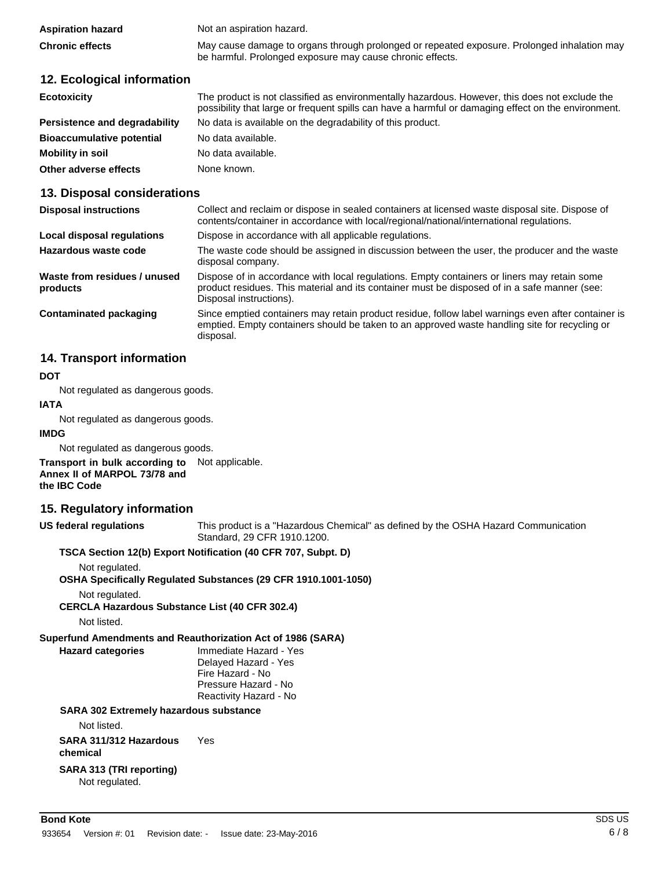| <b>Aspiration hazard</b> | Not an aspiration hazard.                                                                   |
|--------------------------|---------------------------------------------------------------------------------------------|
| <b>Chronic effects</b>   | May cause damage to organs through prolonged or repeated exposure. Prolonged inhalation may |
|                          | be harmful. Prolonged exposure may cause chronic effects.                                   |

## **12. Ecological information**

| <b>Ecotoxicity</b>               | The product is not classified as environmentally hazardous. However, this does not exclude the<br>possibility that large or frequent spills can have a harmful or damaging effect on the environment. |  |
|----------------------------------|-------------------------------------------------------------------------------------------------------------------------------------------------------------------------------------------------------|--|
| Persistence and degradability    | No data is available on the degradability of this product.                                                                                                                                            |  |
| <b>Bioaccumulative potential</b> | No data available.                                                                                                                                                                                    |  |
| Mobility in soil                 | No data available.                                                                                                                                                                                    |  |
| Other adverse effects            | None known.                                                                                                                                                                                           |  |

# **13. Disposal considerations**

| <b>Disposal instructions</b>             | Collect and reclaim or dispose in sealed containers at licensed waste disposal site. Dispose of<br>contents/container in accordance with local/regional/national/international regulations.                            |
|------------------------------------------|------------------------------------------------------------------------------------------------------------------------------------------------------------------------------------------------------------------------|
| Local disposal regulations               | Dispose in accordance with all applicable regulations.                                                                                                                                                                 |
| Hazardous waste code                     | The waste code should be assigned in discussion between the user, the producer and the waste<br>disposal company.                                                                                                      |
| Waste from residues / unused<br>products | Dispose of in accordance with local regulations. Empty containers or liners may retain some<br>product residues. This material and its container must be disposed of in a safe manner (see:<br>Disposal instructions). |
| Contaminated packaging                   | Since emptied containers may retain product residue, follow label warnings even after container is<br>emptied. Empty containers should be taken to an approved waste handling site for recycling or<br>disposal.       |

# **14. Transport information**

#### **DOT**

Not regulated as dangerous goods.

#### **IATA**

Not regulated as dangerous goods.

#### **IMDG**

Not regulated as dangerous goods.

**Transport in bulk according to**  Not applicable. **Annex II of MARPOL 73/78 and the IBC Code**

### **15. Regulatory information**

**US federal regulations**

This product is a "Hazardous Chemical" as defined by the OSHA Hazard Communication Standard, 29 CFR 1910.1200.

#### **TSCA Section 12(b) Export Notification (40 CFR 707, Subpt. D)**

Not regulated.

#### **OSHA Specifically Regulated Substances (29 CFR 1910.1001-1050)**

Not regulated.

**CERCLA Hazardous Substance List (40 CFR 302.4)**

Not listed.

### **Superfund Amendments and Reauthorization Act of 1986 (SARA)**

**Hazard categories** Immediate Hazard - Yes Delayed Hazard - Yes Fire Hazard - No Pressure Hazard - No Reactivity Hazard - No

#### **SARA 302 Extremely hazardous substance**

Not listed.

**SARA 311/312 Hazardous chemical** Yes

#### **SARA 313 (TRI reporting)** Not regulated.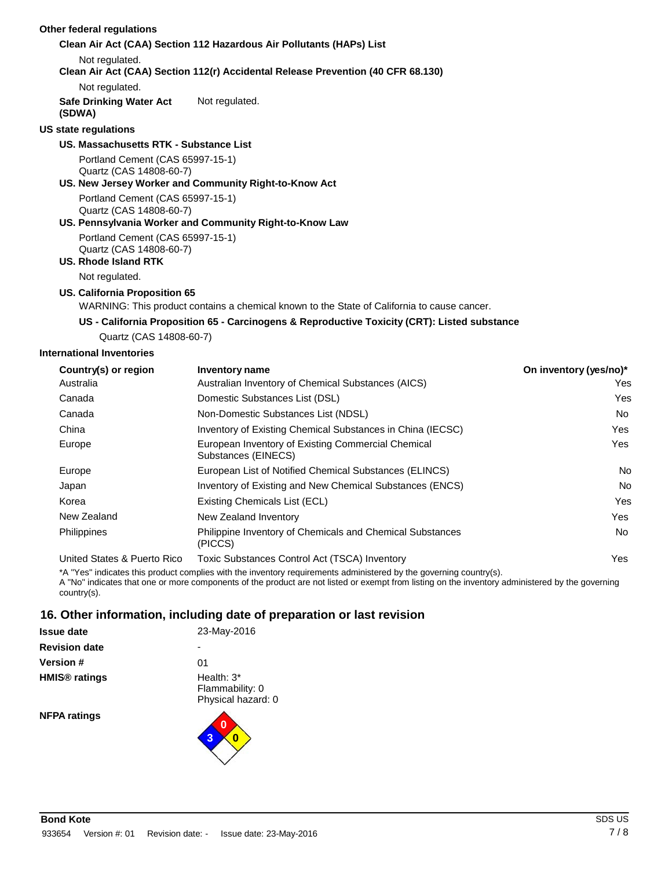#### **Other federal regulations Clean Air Act (CAA) Section 112 Hazardous Air Pollutants (HAPs) List** Not regulated. **Clean Air Act (CAA) Section 112(r) Accidental Release Prevention (40 CFR 68.130)** Not regulated. **Safe Drinking Water Act (SDWA) US state regulations** Not regulated. **US. Massachusetts RTK - Substance List** Portland Cement (CAS 65997-15-1) Quartz (CAS 14808-60-7) **US. New Jersey Worker and Community Right-to-Know Act** Portland Cement (CAS 65997-15-1) Quartz (CAS 14808-60-7) **US. Pennsylvania Worker and Community Right-to-Know Law** Portland Cement (CAS 65997-15-1) Quartz (CAS 14808-60-7) **US. Rhode Island RTK** Not regulated. **US. California Proposition 65** WARNING: This product contains a chemical known to the State of California to cause cancer. **US - California Proposition 65 - Carcinogens & Reproductive Toxicity (CRT): Listed substance** Quartz (CAS 14808-60-7) **International Inventories Country(s) or region Inventory name On inventory (yes/no)\*** Australia Canada Canada China Australian Inventory of Chemical Substances (AICS) Yes Domestic Substances List (DSL) Yes Non-Domestic Substances List (NDSL) Non-Inventory of Existing Chemical Substances in China (IECSC) Nessert China (IECSC)

| Philippines                                                                                                                                                                                                                                                            | Philippine Inventory of Chemicals and Chemical Substances<br>(PICCS) | No  |  |
|------------------------------------------------------------------------------------------------------------------------------------------------------------------------------------------------------------------------------------------------------------------------|----------------------------------------------------------------------|-----|--|
| United States & Puerto Rico                                                                                                                                                                                                                                            | Toxic Substances Control Act (TSCA) Inventory                        | Yes |  |
| *A "Yes" indicates this product complies with the inventory requirements administered by the governing country(s).<br>A "No" indicates that one or more components of the product are not listed or exempt from listing on the inventory administered by the governing |                                                                      |     |  |

European List of Notified Chemical Substances (ELINCS) No Inventory of Existing and New Chemical Substances (ENCS) No Existing Chemicals List (ECL) Yes New Zealand Inventory **Yes** and the *New Zealand Inventory* **Yes** and the *New Zealand Inventory* **Yes** and the *Yes* and the *Yes* and the *Yes* and the *Yes* and the *Yes* and the *Yes* and the *Yes* and the *Yes* and th

country(s). **16. Other information, including date of preparation or last revision**

Europe **European Inventory of Existing Commercial Chemical** Substances (EINECS)

|                      | <b>10. Other implifiation, including date of pro</b> |
|----------------------|------------------------------------------------------|
| <b>Issue date</b>    | 23-May-2016                                          |
| <b>Revision date</b> |                                                      |
| <b>Version</b> #     | 01                                                   |
| <b>HMIS® ratings</b> | Health: 3*<br>Flammability: 0<br>Physical hazard: 0  |
| <b>NFPA ratings</b>  | 0                                                    |

Europe Japan Korea New Zealand Yes